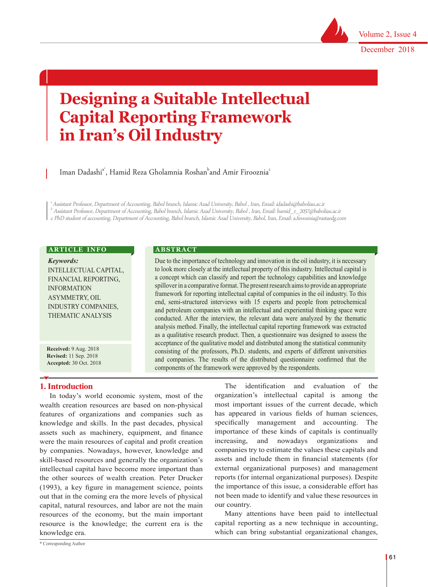

December 2018

# **Designing a Suitable Intellectual Capital Reporting Framework in Iran's Oil Industry**

Iman Dadashi $^{\circ}$ ', Hamid Reza Gholamnia Roshan $^{\rm b}$ and Amir Firooznia $^{\rm c}$ 

a Assistant Professor, Department of Accounting, Babol branch, Islamic Azad University, Babol , Iran, Email: idadashi@baboliau.ac.ir b Assistant Professor, Department of Accounting, Babol branch, Islamic Azad University, Babol , Iran, Email: hamid\_r\_2057@baboliau.ac.ir

c PhD student of accounting, Department of Accounting, Babol branch, Islamic Azad University, Babol, Iran, Email: a.firooznia@rastaedg.com

#### **ARTICLE INFO**

*Keywords:* INTELLECTUAL CAPITAL, FINANCIAL REPORTING, INFORMATION ASYMMETRY, OIL INDUSTRY COMPANIES, THEMATIC ANALYSIS

**Received:** 9 Aug. 2018 **Revised:** 11 Sep. 2018 **Accepted:** 30 Oct. 2018

# **1. Introduction**

## **A B S T R A C T**

Due to the importance of technology and innovation in the oil industry, it is necessary to look more closely at the intellectual property of this industry. Intellectual capital is a concept which can classify and report the technology capabilities and knowledge spillover in a comparative format. The present research aims to provide an appropriate framework for reporting intellectual capital of companies in the oil industry. To this end, semi-structured interviews with 15 experts and people from petrochemical and petroleum companies with an intellectual and experiential thinking space were conducted. After the interview, the relevant data were analyzed by the thematic analysis method. Finally, the intellectual capital reporting framework was extracted as a qualitative research product. Then, a questionnaire was designed to assess the acceptance of the qualitative model and distributed among the statistical community consisting of the professors, Ph.D. students, and experts of different universities and companies. The results of the distributed questionnaire confirmed that the components of the framework were approved by the respondents.

In today's world economic system, most of the wealth creation resources are based on non-physical features of organizations and companies such as knowledge and skills. In the past decades, physical assets such as machinery, equipment, and finance were the main resources of capital and profit creation by companies. Nowadays, however, knowledge and skill-based resources and generally the organization's intellectual capital have become more important than the other sources of wealth creation. Peter Drucker (1993), a key figure in management science, points out that in the coming era the more levels of physical capital, natural resources, and labor are not the main resources of the economy, but the main important resource is the knowledge; the current era is the knowledge era.

\* Corresponding Author

The identification and evaluation of the organization's intellectual capital is among the most important issues of the current decade, which has appeared in various fields of human sciences, specifically management and accounting. The importance of these kinds of capitals is continually increasing, and nowadays organizations and companies try to estimate the values these capitals and assets and include them in financial statements (for external organizational purposes) and management reports (for internal organizational purposes). Despite the importance of this issue, a considerable effort has not been made to identify and value these resources in our country.

Many attentions have been paid to intellectual capital reporting as a new technique in accounting, which can bring substantial organizational changes,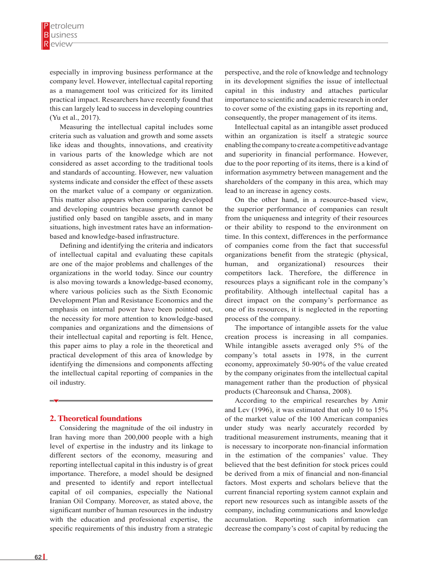especially in improving business performance at the company level. However, intellectual capital reporting as a management tool was criticized for its limited practical impact. Researchers have recently found that this can largely lead to success in developing countries (Yu et al., 2017).

Measuring the intellectual capital includes some criteria such as valuation and growth and some assets like ideas and thoughts, innovations, and creativity in various parts of the knowledge which are not considered as asset according to the traditional tools and standards of accounting. However, new valuation systems indicate and consider the effect of these assets on the market value of a company or organization. This matter also appears when comparing developed and developing countries because growth cannot be justified only based on tangible assets, and in many situations, high investment rates have an informationbased and knowledge-based infrastructure.

Defining and identifying the criteria and indicators of intellectual capital and evaluating these capitals are one of the major problems and challenges of the organizations in the world today. Since our country is also moving towards a knowledge-based economy, where various policies such as the Sixth Economic Development Plan and Resistance Economics and the emphasis on internal power have been pointed out, the necessity for more attention to knowledge-based companies and organizations and the dimensions of their intellectual capital and reporting is felt. Hence, this paper aims to play a role in the theoretical and practical development of this area of knowledge by identifying the dimensions and components affecting the intellectual capital reporting of companies in the oil industry.

# **2. Theoretical foundations**

Considering the magnitude of the oil industry in Iran having more than 200,000 people with a high level of expertise in the industry and its linkage to different sectors of the economy, measuring and reporting intellectual capital in this industry is of great importance. Therefore, a model should be designed and presented to identify and report intellectual capital of oil companies, especially the National Iranian Oil Company. Moreover, as stated above, the significant number of human resources in the industry with the education and professional expertise, the specific requirements of this industry from a strategic

perspective, and the role of knowledge and technology in its development signifies the issue of intellectual capital in this industry and attaches particular importance to scientific and academic research in order to cover some of the existing gaps in its reporting and, consequently, the proper management of its items.

Intellectual capital as an intangible asset produced within an organization is itself a strategic source enabling the company to create a competitive advantage and superiority in financial performance. However, due to the poor reporting of its items, there is a kind of information asymmetry between management and the shareholders of the company in this area, which may lead to an increase in agency costs.

On the other hand, in a resource-based view, the superior performance of companies can result from the uniqueness and integrity of their resources or their ability to respond to the environment on time. In this context, differences in the performance of companies come from the fact that successful organizations benefit from the strategic (physical, human, and organizational) resources their competitors lack. Therefore, the difference in resources plays a significant role in the company's profitability. Although intellectual capital has a direct impact on the company's performance as one of its resources, it is neglected in the reporting process of the company.

The importance of intangible assets for the value creation process is increasing in all companies. While intangible assets averaged only 5% of the company's total assets in 1978, in the current economy, approximately 50-90% of the value created by the company originates from the intellectual capital management rather than the production of physical products (Chareonsuk and Chansa, 2008).

According to the empirical researches by Amir and Lev (1996), it was estimated that only 10 to 15% of the market value of the 100 American companies under study was nearly accurately recorded by traditional measurement instruments, meaning that it is necessary to incorporate non-financial information in the estimation of the companies' value. They believed that the best definition for stock prices could be derived from a mix of financial and non-financial factors. Most experts and scholars believe that the current financial reporting system cannot explain and report new resources such as intangible assets of the company, including communications and knowledge accumulation. Reporting such information can decrease the company's cost of capital by reducing the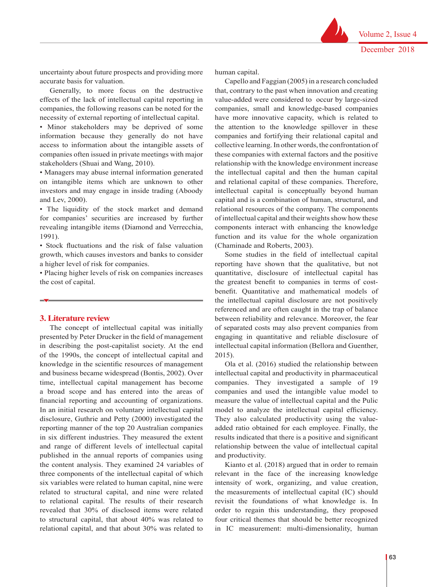uncertainty about future prospects and providing more accurate basis for valuation.

Generally, to more focus on the destructive effects of the lack of intellectual capital reporting in companies, the following reasons can be noted for the necessity of external reporting of intellectual capital.

• Minor stakeholders may be deprived of some information because they generally do not have access to information about the intangible assets of companies often issued in private meetings with major stakeholders (Shuai and Wang, 2010).

• Managers may abuse internal information generated on intangible items which are unknown to other investors and may engage in inside trading (Aboody and Lev, 2000).

• The liquidity of the stock market and demand for companies' securities are increased by further revealing intangible items (Diamond and Verrecchia, 1991).

• Stock fluctuations and the risk of false valuation growth, which causes investors and banks to consider a higher level of risk for companies.

• Placing higher levels of risk on companies increases the cost of capital.

## **3. Literature review**

The concept of intellectual capital was initially presented by Peter Drucker in the field of management in describing the post-capitalist society. At the end of the 1990s, the concept of intellectual capital and knowledge in the scientific resources of management and business became widespread (Bontis, 2002). Over time, intellectual capital management has become a broad scope and has entered into the areas of financial reporting and accounting of organizations. In an initial research on voluntary intellectual capital disclosure, Guthrie and Petty (2000) investigated the reporting manner of the top 20 Australian companies in six different industries. They measured the extent and range of different levels of intellectual capital published in the annual reports of companies using the content analysis. They examined 24 variables of three components of the intellectual capital of which six variables were related to human capital, nine were related to structural capital, and nine were related to relational capital. The results of their research revealed that 30% of disclosed items were related to structural capital, that about 40% was related to relational capital, and that about 30% was related to

human capital.

Capello and Faggian (2005) in a research concluded that, contrary to the past when innovation and creating value-added were considered to occur by large-sized companies, small and knowledge-based companies have more innovative capacity, which is related to the attention to the knowledge spillover in these companies and fortifying their relational capital and collective learning. In other words, the confrontation of these companies with external factors and the positive relationship with the knowledge environment increase the intellectual capital and then the human capital and relational capital of these companies. Therefore, intellectual capital is conceptually beyond human capital and is a combination of human, structural, and relational resources of the company. The components of intellectual capital and their weights show how these components interact with enhancing the knowledge function and its value for the whole organization (Chaminade and Roberts, 2003).

Some studies in the field of intellectual capital reporting have shown that the qualitative, but not quantitative, disclosure of intellectual capital has the greatest benefit to companies in terms of costbenefit. Quantitative and mathematical models of the intellectual capital disclosure are not positively referenced and are often caught in the trap of balance between reliability and relevance. Moreover, the fear of separated costs may also prevent companies from engaging in quantitative and reliable disclosure of intellectual capital information (Bellora and Guenther, 2015).

Ola et al. (2016) studied the relationship between intellectual capital and productivity in pharmaceutical companies. They investigated a sample of 19 companies and used the intangible value model to measure the value of intellectual capital and the Pulic model to analyze the intellectual capital efficiency. They also calculated productivity using the valueadded ratio obtained for each employee. Finally, the results indicated that there is a positive and significant relationship between the value of intellectual capital and productivity.

Kianto et al. (2018) argued that in order to remain relevant in the face of the increasing knowledge intensity of work, organizing, and value creation, the measurements of intellectual capital (IC) should revisit the foundations of what knowledge is. In order to regain this understanding, they proposed four critical themes that should be better recognized in IC measurement: multi-dimensionality, human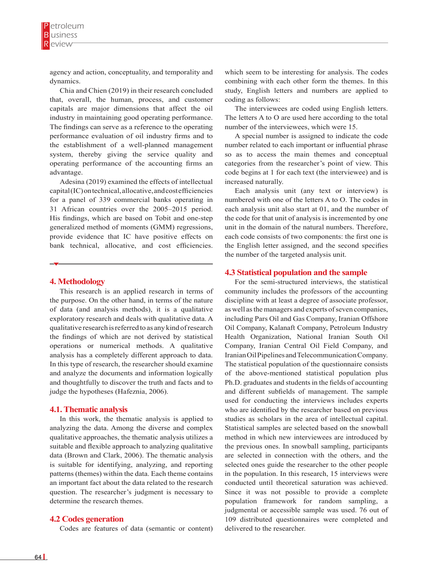agency and action, conceptuality, and temporality and dynamics.

Chia and Chien (2019) in their research concluded that, overall, the human, process, and customer capitals are major dimensions that affect the oil industry in maintaining good operating performance. The findings can serve as a reference to the operating performance evaluation of oil industry firms and to the establishment of a well-planned management system, thereby giving the service quality and operating performance of the accounting firms an advantage.

Adesina (2019) examined the effects of intellectual  $capital (IC) on technical, allocate, and cost efficiencies$ for a panel of 339 commercial banks operating in 31 African countries over the 2005–2015 period. His findings, which are based on Tobit and one-step generalized method of moments (GMM) regressions, provide evidence that IC have positive effects on bank technical, allocative, and cost efficiencies.

## **4. Methodology**

This research is an applied research in terms of the purpose. On the other hand, in terms of the nature of data (and analysis methods), it is a qualitative exploratory research and deals with qualitative data. A qualitative research is referred to as any kind of research the findings of which are not derived by statistical operations or numerical methods. A qualitative analysis has a completely different approach to data. In this type of research, the researcher should examine and analyze the documents and information logically and thoughtfully to discover the truth and facts and to judge the hypotheses (Hafeznia, 2006).

#### **4.1. Thematic analysis**

In this work, the thematic analysis is applied to analyzing the data. Among the diverse and complex qualitative approaches, the thematic analysis utilizes a suitable and flexible approach to analyzing qualitative data (Brown and Clark, 2006). The thematic analysis is suitable for identifying, analyzing, and reporting patterns (themes) within the data. Each theme contains an important fact about the data related to the research question. The researcher's judgment is necessary to determine the research themes.

#### **4.2 Codes generation**

Codes are features of data (semantic or content)

which seem to be interesting for analysis. The codes combining with each other form the themes. In this study, English letters and numbers are applied to coding as follows:

The interviewees are coded using English letters. The letters A to O are used here according to the total number of the interviewees, which were 15.

A special number is assigned to indicate the code number related to each important or influential phrase so as to access the main themes and conceptual categories from the researcher's point of view. This code begins at 1 for each text (the interviewee) and is increased naturally.

Each analysis unit (any text or interview) is numbered with one of the letters A to O. The codes in each analysis unit also start at 01, and the number of the code for that unit of analysis is incremented by one unit in the domain of the natural numbers. Therefore, each code consists of two components: the first one is the English letter assigned, and the second specifies the number of the targeted analysis unit.

#### **4.3 Statistical population and the sample**

For the semi-structured interviews, the statistical community includes the professors of the accounting discipline with at least a degree of associate professor, as well as the managers and experts of seven companies, including Pars Oil and Gas Company, Iranian Offshore Oil Company, Kalanaft Company, Petroleum Industry Health Organization, National Iranian South Oil Company, Iranian Central Oil Field Company, and Iranian Oil Pipelines and Telecommunication Company. The statistical population of the questionnaire consists of the above-mentioned statistical population plus Ph.D. graduates and students in the fields of accounting and different subfields of management. The sample used for conducting the interviews includes experts who are identified by the researcher based on previous studies as scholars in the area of intellectual capital. Statistical samples are selected based on the snowball method in which new interviewees are introduced by the previous ones. In snowball sampling, participants are selected in connection with the others, and the selected ones guide the researcher to the other people in the population. In this research, 15 interviews were conducted until theoretical saturation was achieved. Since it was not possible to provide a complete population framework for random sampling, a judgmental or accessible sample was used. 76 out of 109 distributed questionnaires were completed and delivered to the researcher.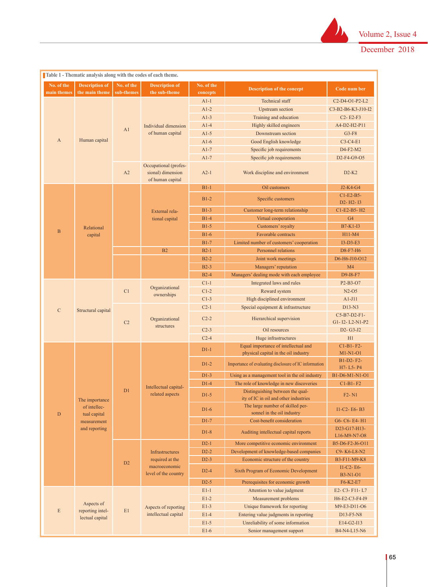

| Table 1 - Thematic analysis along with the codes of each theme. |                                                                                |                          |                                                                             |                        |                                                                              |                                                                                |  |  |  |
|-----------------------------------------------------------------|--------------------------------------------------------------------------------|--------------------------|-----------------------------------------------------------------------------|------------------------|------------------------------------------------------------------------------|--------------------------------------------------------------------------------|--|--|--|
| No. of the<br>main themes                                       | <b>Description of</b><br>the main theme                                        | No. of the<br>sub-themes | <b>Description of</b><br>the sub-theme                                      | No. of the<br>concepts | <b>Description of the concept</b>                                            | Code num ber                                                                   |  |  |  |
| A                                                               |                                                                                |                          |                                                                             | $A1-1$                 | Technical staff                                                              | C <sub>2</sub> -D <sub>4</sub> -O <sub>1</sub> -P <sub>2</sub> -L <sub>2</sub> |  |  |  |
|                                                                 |                                                                                |                          |                                                                             | $A1-2$                 | <b>Upstream</b> section                                                      | C3-B2-B6-K3-J10-I2                                                             |  |  |  |
|                                                                 |                                                                                |                          |                                                                             | $A1-3$                 | Training and education                                                       | C <sub>2</sub> -E <sub>2</sub> -F <sub>3</sub>                                 |  |  |  |
|                                                                 |                                                                                | A1                       | Individual dimension                                                        | $A1-4$                 | Highly skilled engineers                                                     | A4-D2-H2-P11                                                                   |  |  |  |
|                                                                 |                                                                                |                          | of human capital                                                            | $A1-5$                 | Downstream section                                                           | $G3-F8$                                                                        |  |  |  |
|                                                                 | Human capital                                                                  |                          |                                                                             | $A1-6$                 | Good English knowledge                                                       | $C3-C4-E1$                                                                     |  |  |  |
|                                                                 |                                                                                |                          |                                                                             | $A1-7$                 | Specific job requirements                                                    | D4-F2-M2                                                                       |  |  |  |
|                                                                 |                                                                                |                          |                                                                             | $A1-7$                 | Specific job requirements                                                    | D2-F4-G9-O5                                                                    |  |  |  |
|                                                                 |                                                                                | A2                       | Occupational (profes-<br>sional) dimension<br>of human capital              | $A2-1$                 | Work discipline and environment                                              | $D2-K2$                                                                        |  |  |  |
|                                                                 |                                                                                |                          |                                                                             | $B1-1$                 | Oil customers                                                                | J2-K4-G4                                                                       |  |  |  |
|                                                                 |                                                                                |                          |                                                                             | $B1-2$                 | Specific customers                                                           | $C1-E2-B5-$                                                                    |  |  |  |
|                                                                 |                                                                                |                          |                                                                             |                        |                                                                              | D2-H2-I3                                                                       |  |  |  |
|                                                                 |                                                                                |                          | External rela-                                                              | $B1-3$                 | Customer long-term relationship                                              | C1-E2-B5-H2                                                                    |  |  |  |
|                                                                 | Relational                                                                     |                          | tional capital                                                              | $B1-4$                 | Virtual cooperation                                                          | G <sub>4</sub>                                                                 |  |  |  |
| $\, {\bf B}$                                                    |                                                                                |                          |                                                                             | $B1-5$                 | Customers' royalty                                                           | <b>B7-K1-I3</b>                                                                |  |  |  |
|                                                                 | capital                                                                        |                          |                                                                             | $B1-6$                 | Favorable contracts                                                          | H11-M4                                                                         |  |  |  |
|                                                                 |                                                                                |                          |                                                                             | $B1-7$                 | Limited number of customers' cooperation                                     | $I3-D3-E3$                                                                     |  |  |  |
|                                                                 |                                                                                |                          | B <sub>2</sub>                                                              | $B2-1$                 | Personnel relations                                                          | D8-F7-H6                                                                       |  |  |  |
|                                                                 |                                                                                |                          |                                                                             | $B2-2$                 | Joint work meetings                                                          | D6-H6-J10-O12                                                                  |  |  |  |
|                                                                 |                                                                                |                          |                                                                             | $B2-3$                 | Managers' reputation                                                         | M <sub>4</sub>                                                                 |  |  |  |
|                                                                 | Structural capital                                                             |                          |                                                                             | $B2-4$                 | Managers' dealing mode with each employee                                    | D9-I8-F7                                                                       |  |  |  |
|                                                                 |                                                                                | C1<br>C <sub>2</sub>     | Organizational<br>ownerships<br>Organizational<br>structures                | $C1-1$                 | Integrated laws and rules                                                    | P2-B3-O7                                                                       |  |  |  |
|                                                                 |                                                                                |                          |                                                                             | $C1-2$                 | Reward system                                                                | $N2-O5$                                                                        |  |  |  |
|                                                                 |                                                                                |                          |                                                                             | $C1-3$                 | High disciplined environment                                                 | $A1-J11$                                                                       |  |  |  |
| $\mathsf{C}$                                                    |                                                                                |                          |                                                                             | $C2-1$                 | Special equipment & infrastructure                                           | D13-N3                                                                         |  |  |  |
|                                                                 |                                                                                |                          |                                                                             | $C2-2$                 | Hierarchical supervision                                                     | C5-B7-D2-F1-<br>G1- I2- L2-N1-P2                                               |  |  |  |
|                                                                 |                                                                                |                          |                                                                             | $C2-3$                 | Oil resources                                                                | D2- G3-J2                                                                      |  |  |  |
|                                                                 |                                                                                |                          |                                                                             | $C2-4$                 | Huge infrastructures                                                         | H1                                                                             |  |  |  |
|                                                                 | The importance<br>of intellec-<br>tual capital<br>measurement<br>and reporting | D1                       |                                                                             | $D1-1$                 | Equal importance of intellectual and<br>physical capital in the oil industry | $C1-B1-F2-$<br>$M1-N1-O1$                                                      |  |  |  |
|                                                                 |                                                                                |                          |                                                                             | $D1-2$                 | Importance of evaluating disclosure of IC information                        | B1-D2-F2-<br>H7-L5-P4                                                          |  |  |  |
|                                                                 |                                                                                |                          |                                                                             | $D1-3$                 | Using as a management tool in the oil industry                               | B1-D6-M1-N1-O1                                                                 |  |  |  |
|                                                                 |                                                                                |                          | Intellectual capital-                                                       | $D1-4$                 | The role of knowledge in new discoveries                                     | $C1-B1-F2$                                                                     |  |  |  |
|                                                                 |                                                                                |                          | related aspects                                                             | $D1-5$                 | Distinguishing between the qual-<br>ity of IC in oil and other industries    | $F2 - N1$                                                                      |  |  |  |
| ${\bf D}$                                                       |                                                                                |                          |                                                                             | $D1-6$                 | The large number of skilled per-<br>sonnel in the oil industry               | I1-C2-E6-B3                                                                    |  |  |  |
|                                                                 |                                                                                |                          |                                                                             | $D1-7$                 | Cost-benefit consideration                                                   | G6- C6- E4- H1                                                                 |  |  |  |
|                                                                 |                                                                                |                          |                                                                             | $D1-8$                 | Auditing intellectual capital reports                                        | D23-G17-H13-<br>L16-M9-N7-O8                                                   |  |  |  |
|                                                                 |                                                                                | D2                       | Infrastructures<br>required at the<br>macroeconomic<br>level of the country | $D2-1$                 | More competitive economic environment                                        | B5-D6-F2-J6-O11                                                                |  |  |  |
|                                                                 |                                                                                |                          |                                                                             | $D2-2$                 | Development of knowledge-based companies                                     | C9-K6-L8-N2                                                                    |  |  |  |
|                                                                 |                                                                                |                          |                                                                             | $D2-3$                 | Economic structure of the country                                            | B3-F11-M9-K8                                                                   |  |  |  |
|                                                                 |                                                                                |                          |                                                                             | $D2-4$                 | Sixth Program of Economic Development                                        | I1-C2-E6-<br><b>B3-N1-O1</b>                                                   |  |  |  |
|                                                                 |                                                                                |                          |                                                                             | $D2-5$                 | Prerequisites for economic growth                                            | F6-K2-E7                                                                       |  |  |  |
| E                                                               | Aspects of<br>reporting intel-<br>lectual capital                              | E1                       | Aspects of reporting<br>intellectual capital                                | $E1-1$                 | Attention to value judgment                                                  | E2- C3- F11- L7                                                                |  |  |  |
|                                                                 |                                                                                |                          |                                                                             | $E1-2$                 | Measurement problems                                                         | H6-E2-C3-F4-I9                                                                 |  |  |  |
|                                                                 |                                                                                |                          |                                                                             | $E1-3$                 | Unique framework for reporting                                               | M9-E3-D11-O6                                                                   |  |  |  |
|                                                                 |                                                                                |                          |                                                                             | $E1-4$                 | Entering value judgments in reporting                                        | D <sub>13</sub> -F <sub>5</sub> -N <sub>8</sub>                                |  |  |  |
|                                                                 |                                                                                |                          |                                                                             | $E1-5$                 | Unreliability of some information                                            | E14-G2-I13                                                                     |  |  |  |
|                                                                 |                                                                                |                          |                                                                             | $E1-6$                 | Senior management support                                                    | B4-N4-L15-N6                                                                   |  |  |  |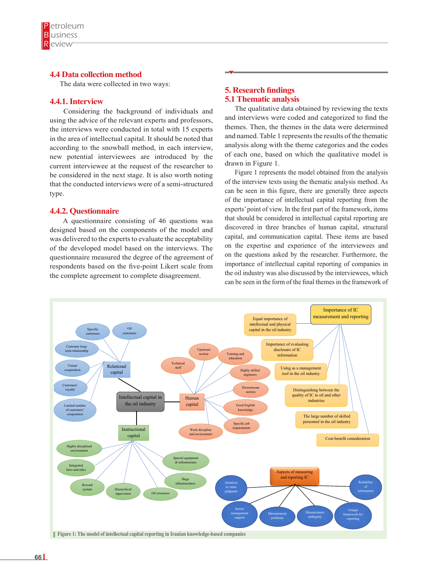# **4.4 Data collection method**

The data were collected in two ways:

# **4.4.1. Interview**

 Considering the background of individuals and using the advice of the relevant experts and professors, the interviews were conducted in total with 15 experts in the area of intellectual capital. It should be noted that according to the snowball method, in each interview, new potential interviewees are introduced by the current interviewee at the request of the researcher to be considered in the next stage. It is also worth noting that the conducted interviews were of a semi-structured type.

## **4.4.2. Questionnaire**

 A questionnaire consisting of 46 questions was designed based on the components of the model and was delivered to the experts to evaluate the acceptability of the developed model based on the interviews. The questionnaire measured the degree of the agreement of respondents based on the five-point Likert scale from the complete agreement to complete disagreement.

# **5. Research findings 5.1 Thematic analysis**

The qualitative data obtained by reviewing the texts and interviews were coded and categorized to find the themes. Then, the themes in the data were determined and named. Table 1 represents the results of the thematic analysis along with the theme categories and the codes of each one, based on which the qualitative model is drawn in Figure 1.

Figure 1 represents the model obtained from the analysis of the interview texts using the thematic analysis method. As can be seen in this figure, there are generally three aspects of the importance of intellectual capital reporting from the experts' point of view. In the first part of the framework, items that should be considered in intellectual capital reporting are discovered in three branches of human capital, structural capital, and communication capital. These items are based on the expertise and experience of the interviewees and on the questions asked by the researcher. Furthermore, the importance of intellectual capital reporting of companies in the oil industry was also discussed by the interviewees, which can be seen in the form of the final themes in the framework of

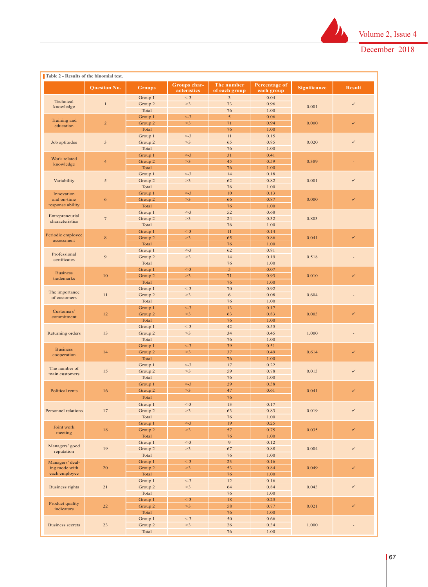

| Table 2 - Results of the binomial test. |                     |                  | <b>Groups</b> char- | The number              | <b>Percentage of</b> |                     |               |  |
|-----------------------------------------|---------------------|------------------|---------------------|-------------------------|----------------------|---------------------|---------------|--|
|                                         | <b>Question No.</b> | <b>Groups</b>    | acteristics         | of each group           | each group           | <b>Significance</b> | <b>Result</b> |  |
|                                         |                     | Group 1          | $\leq -3$           | $\overline{\mathbf{3}}$ | 0.04                 |                     |               |  |
| Technical                               | $\mathbf{1}$        | Group 2          | >3                  | 73                      | 0.96                 |                     | $\checkmark$  |  |
| knowledge                               |                     | Total            |                     | 76                      | 1.00                 | 0.001               |               |  |
|                                         |                     | Group 1          | $\leq -3$           | 5                       | 0.06                 |                     |               |  |
| Training and<br>education               | $\sqrt{2}$          | Group 2          | >3                  | 71                      | 0.94                 | 0.000               | ✓             |  |
|                                         |                     | Total            |                     | 76                      | 1.00                 |                     |               |  |
|                                         |                     | Group 1          | $\leq -3$           | 11                      | 0.15                 |                     | ✓             |  |
| Job aptitudes                           | $\overline{3}$      | Group 2          | >3                  | 65                      | 0.85                 | 0.020               |               |  |
|                                         |                     | Total            |                     | 76                      | 1.00                 |                     |               |  |
| Work-related                            |                     | Group 1          | $\leq -3$           | 31                      | 0.41                 |                     |               |  |
| knowledge                               | $\overline{4}$      | Group 2          | >3                  | 45                      | 0.59                 | 0.389               |               |  |
|                                         |                     | <b>Total</b>     |                     | 76                      | 1.00                 |                     |               |  |
| Variability                             | $\sqrt{5}$          | Group 1          | $\leq -3$<br>>3     | 14<br>62                | 0.18<br>0.82         | 0.001               |               |  |
|                                         |                     | Group 2<br>Total |                     | 76                      | 1.00                 |                     |               |  |
|                                         |                     | Group 1          | $\leq -3$           | 10                      | 0.13                 |                     |               |  |
| Innovation<br>and on-time               | 6                   | Group 2          | >3                  | 66                      | 0.87                 | 0.000               | ✓             |  |
| response ability                        |                     | Total            |                     | 76                      | 1.00                 |                     |               |  |
|                                         |                     | Group 1          | $\leq -3$           | 52                      | 0.68                 |                     |               |  |
| Entrepreneurial                         | $\tau$              | Group 2          | >3                  | 24                      | 0.32                 | 0.803               |               |  |
| characteristics                         |                     | Total            |                     | 76                      | 1.00                 |                     |               |  |
|                                         |                     | Group 1          | $\leq -3$           | 11                      | 0.14                 |                     |               |  |
| Periodic employee                       | $\,$ 8 $\,$         | Group 2          | >3                  | 65                      | 0.86                 | 0.041               | ✓             |  |
| assessment                              |                     | Total            |                     | 76                      | 1.00                 |                     |               |  |
|                                         |                     | Group 1          | $\leq -3$           | 62                      | 0.81                 |                     |               |  |
| Professional                            | 9                   | Group 2          | >3                  | 14                      | 0.19                 | 0.518               |               |  |
| certificates                            |                     | Total            |                     | 76                      | 1.00                 |                     |               |  |
|                                         |                     | Group 1          | $\leq -3$           | 5                       | 0.07                 |                     |               |  |
| <b>Business</b><br>trademarks           | 10                  | Group 2          | >3                  | 71                      | 0.93                 | 0.010               | ✓             |  |
|                                         |                     | Total            |                     | 76                      | 1.00                 |                     |               |  |
|                                         | 11                  | Group 1          | $\leq -3$           | 70                      | 0.92                 |                     |               |  |
| The importance<br>of customers          |                     | Group 2          | >3                  | 6                       | 0.08                 | 0.604               |               |  |
|                                         |                     | Total            |                     | 76                      | 1.00                 |                     |               |  |
| Customers'                              | 12                  | Group 1          | $\leq -3$           | 13                      | 0.17                 |                     |               |  |
| commitment                              |                     | Group 2          | >3                  | 63                      | 0.83                 | 0.003               | ✓             |  |
|                                         |                     | Total            |                     | 76                      | 1.00                 |                     |               |  |
|                                         | 13                  | Group 1          | $\leq -3$           | 42                      | 0.55                 |                     |               |  |
| Returning orders                        |                     | Group 2          | >3                  | 34                      | 0.45                 | 1.000               |               |  |
|                                         |                     | Total            |                     | 76                      | 1.00                 |                     |               |  |
| <b>Business</b>                         |                     | Group 1          | $\leq -3$           | 39                      | 0.51                 |                     |               |  |
| cooperation                             | 14                  | Group 2          | >3                  | 37                      | 0.49                 | 0.614               | ✓             |  |
|                                         |                     | Total<br>Group 1 | $< -3$              | 76<br>17                | 1.00<br>0.22         |                     |               |  |
| The number of                           | 15                  | Group 2          | >3                  | 59                      | 0.78                 | 0.013               | ✓             |  |
| main customers                          |                     | Total            |                     | 76                      | 1.00                 |                     |               |  |
|                                         |                     | Group 1          | $\leq -3$           | 29                      | 0.38                 |                     |               |  |
|                                         | 16                  |                  | >3                  | 47                      |                      |                     |               |  |
| Political rents                         |                     | Group 2<br>Total |                     | 76                      | 0.61                 | 0.041               |               |  |
|                                         |                     | Group 1          | $\lt$ -3            | 13                      | 0.17                 |                     |               |  |
| Personnel relations                     | 17                  | Group 2          | >3                  | 63                      | 0.83                 | 0.019               | $\checkmark$  |  |
|                                         |                     | Total            |                     | 76                      | 1.00                 |                     |               |  |
|                                         |                     | Group 1          | $\leq -3$           | 19                      | 0.25                 |                     |               |  |
| Joint work                              | $18\,$              | Group 2          | >3                  | 57                      | 0.75                 | 0.035               | ✓             |  |
| meeting                                 |                     | Total            |                     | 76                      | 1.00                 |                     |               |  |
|                                         |                     | Group 1          | $< -3$              | $\boldsymbol{9}$        | 0.12                 |                     |               |  |
| Managers' good<br>reputation            | 19                  | Group 2          | >3                  | 67                      | 0.88                 | 0.004               | ✓             |  |
|                                         |                     | Total            |                     | 76                      | 1.00                 |                     |               |  |
| Managers' deal-                         | 20                  | Group 1          | $\leq -3$           | 23                      | 0.16                 |                     |               |  |
| ing mode with                           |                     | Group 2          | >3                  | 53                      | 0.84                 | 0.049               | ✓             |  |
| each employee                           |                     | Total            |                     | 76                      | 1.00                 |                     |               |  |
|                                         |                     | Group 1          | $< -3$              | 12                      | 0.16                 |                     |               |  |
| <b>Business rights</b>                  | 21                  | Group 2          | >3                  | 64                      | 0.84                 | 0.043               | $\checkmark$  |  |
|                                         |                     | Total            |                     | 76                      | 1.00                 |                     |               |  |
|                                         |                     | Group 1          | $\leq -3$           | 18                      | 0.23                 |                     |               |  |
| Product quality<br>indicators           | $22\,$              | Group 2          | >3                  | 58                      | 0.77                 | 0.021               | ✓             |  |
|                                         |                     | Total            |                     | 76                      | 1.00                 |                     |               |  |
|                                         |                     | Group 1          | $< -3$              | 50                      | 0.66                 |                     |               |  |
| <b>Business secrets</b>                 | 23                  | Group 2          | >3                  | 26                      | 0.34                 | 1.000               |               |  |
|                                         |                     | Total            |                     | 76                      | $1.00\,$             |                     |               |  |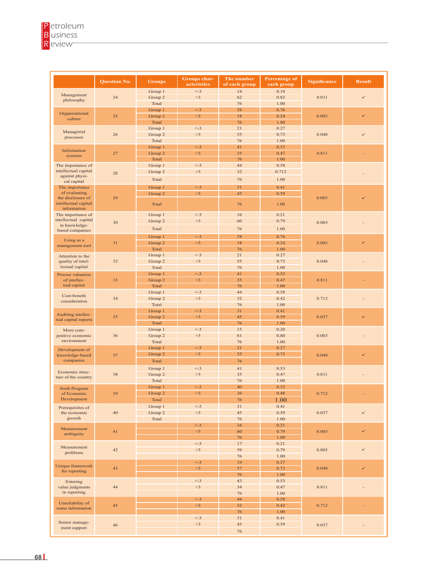|                                                                              | <b>Ouestion No.</b> | <b>Groups</b>                        | Groups char-<br>acteristics | The number<br>of each group | <b>Percentage of</b><br>each group | <b>Significance</b> | <b>Result</b>            |
|------------------------------------------------------------------------------|---------------------|--------------------------------------|-----------------------------|-----------------------------|------------------------------------|---------------------|--------------------------|
| Management<br>philosophy                                                     | 24                  | Group 1<br>Group 2<br>Total          | $\leq -3$<br>>3             | 14<br>62<br>76              | 0.18<br>0.82<br>1.00               | 0.011               | ✓                        |
| Organizational<br>culture                                                    | 25                  | Group 1<br>Group 2<br>Total          | $\leq -3$<br>>3             | 58<br>18<br>76              | 0.76<br>0.24<br>1.00               | 0.003               | ✓                        |
| Managerial<br>processes                                                      | 26                  | Group 1<br>Group 2<br>Total          | $\leq -3$<br>>3             | 21<br>55<br>76              | 0.27<br>0.73<br>1.00               | 0.048               | ✓                        |
| Information<br>systems                                                       | 27                  | Group 1<br>Group 2                   | $\leq -3$<br>>3             | 41<br>35                    | 0.53<br>0.47                       | 0.811               |                          |
| The importance of<br>intellectual capital<br>against physi-<br>cal capital   | 28                  | Total<br>Group 1<br>Group 2<br>Total | $\lt$ -3<br>>3              | 76<br>44<br>32<br>76        | 1.00<br>0.58<br>0.712<br>1.00      |                     |                          |
| The importance<br>of evaluating<br>the disclosure of<br>intellectual capital | 29                  | Group 1<br>Group 2                   | $\leq -3$<br>>3             | 31<br>45                    | 0.41<br>0.59                       | 0.003               | ✓                        |
| information<br>The importance of<br>intellectual capital<br>in knowledge-    | 30                  | Total<br>Group 1<br>Group 2          | $\leq -3$<br>>3             | 76<br>16<br>60              | 1.00<br>0.21<br>0.79               | 0.003               |                          |
| based companies<br>Using as a<br>management tool                             | 31                  | Total<br>Group 1<br>Group 2          | $\leq -3$<br>>3             | 76<br>58<br>18              | 1.00<br>0.76<br>0.24               | 0.003               | ✓                        |
| Attention to the<br>quality of intel-<br>lectual capital                     | 32                  | Total<br>Group 1<br>Group 2<br>Total | $\leq -3$<br>>3             | 76<br>21<br>55<br>76        | 1.00<br>0.27<br>0.73<br>1.00       | 0.048               |                          |
| Precise valuation<br>of intellec-<br>tual capital                            | 33                  | Group 1<br>Group 2<br>Total          | $\leq -3$<br>>3             | 41<br>35<br>76              | 0.53<br>0.47<br>1.00               | 0.811               |                          |
| Cost-benefit<br>consideration                                                | 34                  | Group 1<br>Group 2<br>Total          | $\leq -3$<br>>3             | 44<br>32<br>76              | 0.58<br>0.42<br>1.00               | 0.712               |                          |
| Auditing intellec-<br>tual capital reports                                   | 35                  | Group 1<br>Group 2<br>Total          | $\leq -3$<br>>3             | 31<br>45<br>76              | 0.41<br>0.59<br>1.00               | 0.037               | ✓                        |
| More com-<br>petitive economic<br>environment                                | 36                  | Group 1<br>Group 2<br>Total          | $\leq -3$<br>>3             | 15<br>61<br>76              | 0.20<br>0.80<br>1.00               | 0.003               |                          |
| Development of<br>knowledge-based<br>companies                               | 37                  | Group 1<br>Group 2<br>Total          | $\leq -3$<br>>3             | 21<br>55<br>76              | 0.27<br>0.73                       | 0.048               | ✓                        |
| Economic struc-<br>ture of the country                                       | 38                  | Group 1<br>Group 2<br>Total          | $\lt$ -3<br>>3              | 41<br>35<br>76              | 0.53<br>0.47<br>1.00               | 0.811               |                          |
| <b>Sixth Program</b><br>of Economic<br>Development                           | 39                  | Group 1<br>Group 2<br>Total          | $\leq -3$<br>>3             | 40<br>36<br>76              | 0.52<br>0.48<br>1.00               | 0.712               |                          |
| Prerequisites of<br>the economic<br>growth                                   | $40\,$              | Group 1<br>Group 2<br>Total          | $\lt$ -3<br>>3              | 31<br>45<br>76              | 0.41<br>0.59<br>1.00               | 0.037               | $\checkmark$             |
| Measurement<br>ambiguity                                                     | 41                  |                                      | $\leq -3$<br>>3             | 16<br>60<br>76              | 0.21<br>0.79<br>$1.00\,$           | 0.003               | ✓                        |
| Measurement<br>problems                                                      | 42                  |                                      | $\leq -3$<br>>3             | 17<br>59<br>76              | 0.21<br>0.79<br>1.00               | 0.003               | $\checkmark$             |
| Unique framework<br>for reporting                                            | 43                  |                                      | $\leq -3$<br>>3             | 19<br>57<br>76              | 0.27<br>0.73<br>$1.00\,$           | 0.048               | ✓                        |
| Entering<br>value judgments<br>in reporting                                  | 44                  |                                      | $\leq -3$<br>>3             | 43<br>34<br>76              | 0.53<br>0.47<br>1.00               | 0.811               | $\overline{\phantom{a}}$ |
| Unreliability of<br>some information                                         | $45\,$              |                                      | $\leq -3$<br>>3             | 44<br>32<br>76              | 0.58<br>0.42<br>$1.00\,$           | 0.712               |                          |
| Senior manage-<br>ment support                                               | 46                  |                                      | $\leq -3$<br>$>\!\!3$       | 31<br>45<br>76              | 0.41<br>0.59                       | 0.037               | $\overline{\phantom{a}}$ |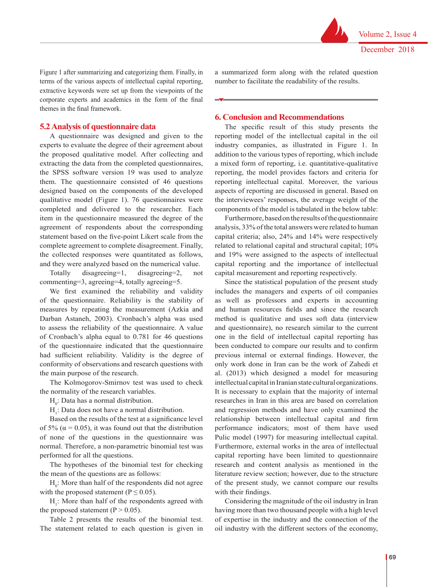Figure 1 after summarizing and categorizing them. Finally, in terms of the various aspects of intellectual capital reporting, extractive keywords were set up from the viewpoints of the corporate experts and academics in the form of the final themes in the final framework.

## **5.2 Analysis of questionnaire data**

A questionnaire was designed and given to the experts to evaluate the degree of their agreement about the proposed qualitative model. After collecting and extracting the data from the completed questionnaires, the SPSS software version 19 was used to analyze them. The questionnaire consisted of 46 questions designed based on the components of the developed qualitative model (Figure 1). 76 questionnaires were completed and delivered to the researcher. Each item in the questionnaire measured the degree of the agreement of respondents about the corresponding statement based on the five-point Likert scale from the complete agreement to complete disagreement. Finally, the collected responses were quantitated as follows, and they were analyzed based on the numerical value.

Totally disagreeing=1, disagreeing=2, not commenting=3, agreeing=4, totally agreeing=5.

We first examined the reliability and validity of the questionnaire. Reliability is the stability of measures by repeating the measurement (Azkia and Darban Astaneh, 2003). Cronbach's alpha was used to assess the reliability of the questionnaire. A value of Cronbach's alpha equal to 0.781 for 46 questions of the questionnaire indicated that the questionnaire had sufficient reliability. Validity is the degree of conformity of observations and research questions with the main purpose of the research.

The Kolmogorov-Smirnov test was used to check the normality of the research variables.

 $H_0$ : Data has a normal distribution.

 $H_1$ : Data does not have a normal distribution.

Based on the results of the test at a significance level of 5% ( $\alpha$  = 0.05), it was found out that the distribution of none of the questions in the questionnaire was normal. Therefore, a non-parametric binomial test was performed for all the questions.

The hypotheses of the binomial test for checking the mean of the questions are as follows:

 $H_0$ : More than half of the respondents did not agree with the proposed statement ( $P \le 0.05$ ).

 $H_1$ : More than half of the respondents agreed with the proposed statement ( $P > 0.05$ ).

Table 2 presents the results of the binomial test. The statement related to each question is given in a summarized form along with the related question number to facilitate the readability of the results.

## **6. Conclusion and Recommendations**

The specific result of this study presents the reporting model of the intellectual capital in the oil industry companies, as illustrated in Figure 1. In addition to the various types of reporting, which include a mixed form of reporting, i.e. quantitative-qualitative reporting, the model provides factors and criteria for reporting intellectual capital. Moreover, the various aspects of reporting are discussed in general. Based on the interviewees' responses, the average weight of the components of the model is tabulated in the below table:

Furthermore, based on the results of the questionnaire analysis, 33% of the total answers were related to human capital criteria; also, 24% and 14% were respectively related to relational capital and structural capital; 10% and 19% were assigned to the aspects of intellectual capital reporting and the importance of intellectual capital measurement and reporting respectively.

Since the statistical population of the present study includes the managers and experts of oil companies as well as professors and experts in accounting and human resources fields and since the research method is qualitative and uses soft data (interview and questionnaire), no research similar to the current one in the field of intellectual capital reporting has been conducted to compare our results and to confirm previous internal or external findings. However, the only work done in Iran can be the work of Zahedi et al. (2013) which designed a model for measuring intellectual capital in Iranian state cultural organizations. It is necessary to explain that the majority of internal researches in Iran in this area are based on correlation and regression methods and have only examined the relationship between intellectual capital and firm performance indicators; most of them have used Pulic model (1997) for measuring intellectual capital. Furthermore, external works in the area of intellectual capital reporting have been limited to questionnaire research and content analysis as mentioned in the literature review section; however, due to the structure of the present study, we cannot compare our results with their findings.

Considering the magnitude of the oil industry in Iran having more than two thousand people with a high level of expertise in the industry and the connection of the oil industry with the different sectors of the economy,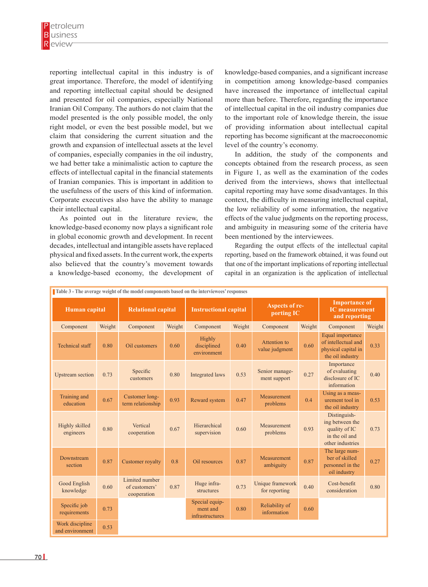reporting intellectual capital in this industry is of great importance. Therefore, the model of identifying and reporting intellectual capital should be designed and presented for oil companies, especially National Iranian Oil Company. The authors do not claim that the model presented is the only possible model, the only right model, or even the best possible model, but we claim that considering the current situation and the growth and expansion of intellectual assets at the level of companies, especially companies in the oil industry, we had better take a minimalistic action to capture the effects of intellectual capital in the financial statements of Iranian companies. This is important in addition to the usefulness of the users of this kind of information. Corporate executives also have the ability to manage their intellectual capital.

As pointed out in the literature review, the knowledge-based economy now plays a significant role in global economic growth and development. In recent decades, intellectual and intangible assets have replaced physical and fixed assets. In the current work, the experts also believed that the country's movement towards a knowledge-based economy, the development of

knowledge-based companies, and a significant increase in competition among knowledge-based companies have increased the importance of intellectual capital more than before. Therefore, regarding the importance of intellectual capital in the oil industry companies due to the important role of knowledge therein, the issue of providing information about intellectual capital reporting has become significant at the macroeconomic level of the country's economy.

In addition, the study of the components and concepts obtained from the research process, as seen in Figure 1, as well as the examination of the codes derived from the interviews, shows that intellectual capital reporting may have some disadvantages. In this context, the difficulty in measuring intellectual capital, the low reliability of some information, the negative effects of the value judgments on the reporting process, and ambiguity in measuring some of the criteria have been mentioned by the interviewees.

Regarding the output effects of the intellectual capital reporting, based on the framework obtained, it was found out that one of the important implications of reporting intellectual capital in an organization is the application of intellectual

| Table 3 - The average weight of the model components based on the interviewees' responses |        |                                                |      |                                               |        |                                   |        |                                                                                        |        |  |
|-------------------------------------------------------------------------------------------|--------|------------------------------------------------|------|-----------------------------------------------|--------|-----------------------------------|--------|----------------------------------------------------------------------------------------|--------|--|
| Human capital                                                                             |        | <b>Relational capital</b>                      |      | <b>Instructional capital</b>                  |        | Aspects of re-<br>porting IC      |        | <b>Importance of</b><br><b>IC</b> measurement<br>and reporting                         |        |  |
| Component                                                                                 | Weight | Weight<br>Component                            |      | Component                                     | Weight | Component                         | Weight | Component                                                                              | Weight |  |
| <b>Technical staff</b>                                                                    | 0.80   | Oil customers                                  | 0.60 | Highly<br>disciplined<br>environment          | 0.40   | Attention to<br>value judgment    | 0.60   | Equal importance<br>of intellectual and<br>physical capital in<br>the oil industry     | 0.33   |  |
| <b>Upstream</b> section                                                                   | 0.73   | Specific<br>customers                          | 0.80 | <b>Integrated</b> laws                        | 0.53   | Senior manage-<br>ment support    | 0.27   | Importance<br>of evaluating<br>disclosure of IC<br>information                         | 0.40   |  |
| Training and<br>education                                                                 | 0.67   | Customer long-<br>term relationship            | 0.93 | Reward system                                 | 0.47   | Measurement<br>problems           | 0.4    | Using as a meas-<br>urement tool in<br>the oil industry                                | 0.53   |  |
| Highly skilled<br>engineers                                                               | 0.80   | Vertical<br>cooperation                        | 0.67 | Hierarchical<br>supervision                   | 0.60   | Measurement<br>problems           | 0.93   | Distinguish-<br>ing between the<br>quality of IC<br>in the oil and<br>other industries | 0.73   |  |
| Downstream<br>section                                                                     | 0.87   | <b>Customer royalty</b>                        | 0.8  | Oil resources                                 | 0.87   | Measurement<br>ambiguity          | 0.87   | The large num-<br>ber of skilled<br>personnel in the<br>oil industry                   | 0.27   |  |
| Good English<br>knowledge                                                                 | 0.60   | Limited number<br>of customers'<br>cooperation | 0.87 | Huge infra-<br>structures                     | 0.73   | Unique framework<br>for reporting | 0.40   | Cost-benefit<br>consideration                                                          | 0.80   |  |
| Specific job<br>requirements                                                              | 0.73   |                                                |      | Special equip-<br>ment and<br>infrastructures | 0.80   | Reliability of<br>information     | 0.60   |                                                                                        |        |  |
| Work discipline<br>and environment                                                        | 0.53   |                                                |      |                                               |        |                                   |        |                                                                                        |        |  |